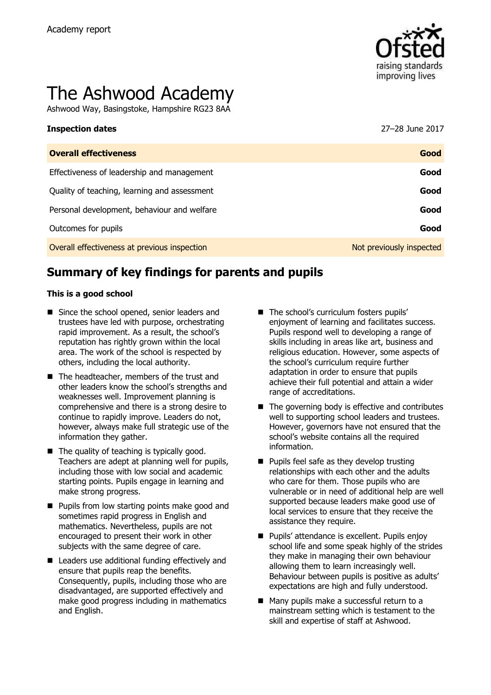

# The Ashwood Academy

Ashwood Way, Basingstoke, Hampshire RG23 8AA

| Inspection dates                             | 27–28 June 2017          |
|----------------------------------------------|--------------------------|
| <b>Overall effectiveness</b>                 | Good                     |
| Effectiveness of leadership and management   | Good                     |
| Quality of teaching, learning and assessment | Good                     |
| Personal development, behaviour and welfare  | Good                     |
| Outcomes for pupils                          | Good                     |
| Overall effectiveness at previous inspection | Not previously inspected |
|                                              |                          |

# **Summary of key findings for parents and pupils**

#### **This is a good school**

- Since the school opened, senior leaders and trustees have led with purpose, orchestrating rapid improvement. As a result, the school's reputation has rightly grown within the local area. The work of the school is respected by others, including the local authority.
- The headteacher, members of the trust and other leaders know the school's strengths and weaknesses well. Improvement planning is comprehensive and there is a strong desire to continue to rapidly improve. Leaders do not, however, always make full strategic use of the information they gather.
- $\blacksquare$  The quality of teaching is typically good. Teachers are adept at planning well for pupils, including those with low social and academic starting points. Pupils engage in learning and make strong progress.
- **Pupils from low starting points make good and** sometimes rapid progress in English and mathematics. Nevertheless, pupils are not encouraged to present their work in other subjects with the same degree of care.
- Leaders use additional funding effectively and ensure that pupils reap the benefits. Consequently, pupils, including those who are disadvantaged, are supported effectively and make good progress including in mathematics and English.
- The school's curriculum fosters pupils' enjoyment of learning and facilitates success. Pupils respond well to developing a range of skills including in areas like art, business and religious education. However, some aspects of the school's curriculum require further adaptation in order to ensure that pupils achieve their full potential and attain a wider range of accreditations.
- The governing body is effective and contributes well to supporting school leaders and trustees. However, governors have not ensured that the school's website contains all the required information.
- **Pupils feel safe as they develop trusting** relationships with each other and the adults who care for them. Those pupils who are vulnerable or in need of additional help are well supported because leaders make good use of local services to ensure that they receive the assistance they require.
- **Pupils' attendance is excellent. Pupils enjoy** school life and some speak highly of the strides they make in managing their own behaviour allowing them to learn increasingly well. Behaviour between pupils is positive as adults' expectations are high and fully understood.
- Many pupils make a successful return to a mainstream setting which is testament to the skill and expertise of staff at Ashwood.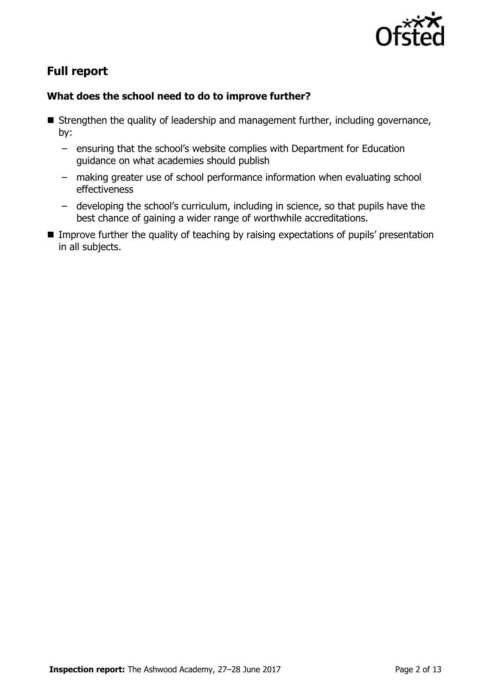

# **Full report**

### **What does the school need to do to improve further?**

- $\blacksquare$  Strengthen the quality of leadership and management further, including governance, by:
	- ensuring that the school's website complies with Department for Education guidance on what academies should publish
	- making greater use of school performance information when evaluating school effectiveness
	- developing the school's curriculum, including in science, so that pupils have the best chance of gaining a wider range of worthwhile accreditations.
- **IMPROVE THE THE THE GUALITY OF THE EXPIRITION EXPECTATIONS** of pupils' presentation in all subjects.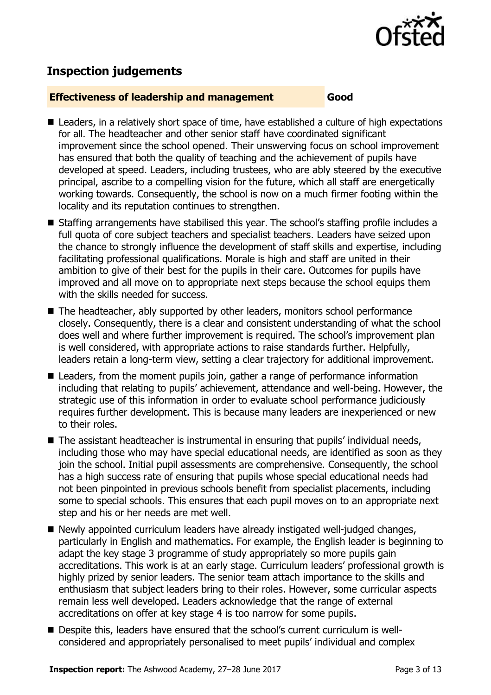

# **Inspection judgements**

#### **Effectiveness of leadership and management Good**

- Leaders, in a relatively short space of time, have established a culture of high expectations for all. The headteacher and other senior staff have coordinated significant improvement since the school opened. Their unswerving focus on school improvement has ensured that both the quality of teaching and the achievement of pupils have developed at speed. Leaders, including trustees, who are ably steered by the executive principal, ascribe to a compelling vision for the future, which all staff are energetically working towards. Consequently, the school is now on a much firmer footing within the locality and its reputation continues to strengthen.
- Staffing arrangements have stabilised this year. The school's staffing profile includes a full quota of core subject teachers and specialist teachers. Leaders have seized upon the chance to strongly influence the development of staff skills and expertise, including facilitating professional qualifications. Morale is high and staff are united in their ambition to give of their best for the pupils in their care. Outcomes for pupils have improved and all move on to appropriate next steps because the school equips them with the skills needed for success.
- The headteacher, ably supported by other leaders, monitors school performance closely. Consequently, there is a clear and consistent understanding of what the school does well and where further improvement is required. The school's improvement plan is well considered, with appropriate actions to raise standards further. Helpfully, leaders retain a long-term view, setting a clear trajectory for additional improvement.
- Leaders, from the moment pupils join, gather a range of performance information including that relating to pupils' achievement, attendance and well-being. However, the strategic use of this information in order to evaluate school performance judiciously requires further development. This is because many leaders are inexperienced or new to their roles.
- The assistant headteacher is instrumental in ensuring that pupils' individual needs, including those who may have special educational needs, are identified as soon as they join the school. Initial pupil assessments are comprehensive. Consequently, the school has a high success rate of ensuring that pupils whose special educational needs had not been pinpointed in previous schools benefit from specialist placements, including some to special schools. This ensures that each pupil moves on to an appropriate next step and his or her needs are met well.
- Newly appointed curriculum leaders have already instigated well-judged changes, particularly in English and mathematics. For example, the English leader is beginning to adapt the key stage 3 programme of study appropriately so more pupils gain accreditations. This work is at an early stage. Curriculum leaders' professional growth is highly prized by senior leaders. The senior team attach importance to the skills and enthusiasm that subject leaders bring to their roles. However, some curricular aspects remain less well developed. Leaders acknowledge that the range of external accreditations on offer at key stage 4 is too narrow for some pupils.
- Despite this, leaders have ensured that the school's current curriculum is wellconsidered and appropriately personalised to meet pupils' individual and complex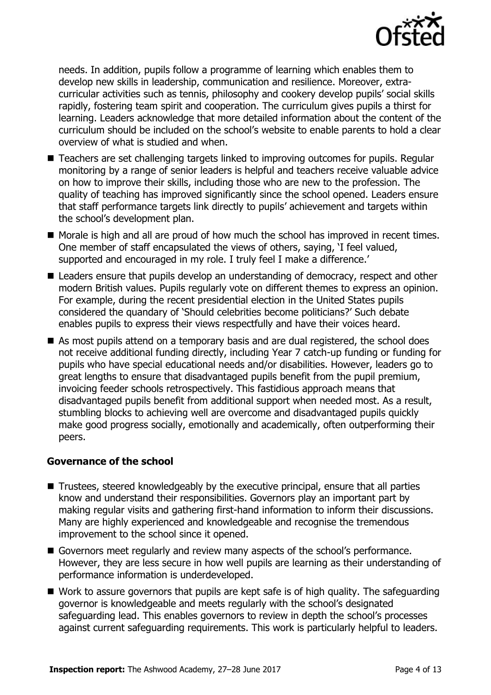

needs. In addition, pupils follow a programme of learning which enables them to develop new skills in leadership, communication and resilience. Moreover, extracurricular activities such as tennis, philosophy and cookery develop pupils' social skills rapidly, fostering team spirit and cooperation. The curriculum gives pupils a thirst for learning. Leaders acknowledge that more detailed information about the content of the curriculum should be included on the school's website to enable parents to hold a clear overview of what is studied and when.

- Teachers are set challenging targets linked to improving outcomes for pupils. Regular monitoring by a range of senior leaders is helpful and teachers receive valuable advice on how to improve their skills, including those who are new to the profession. The quality of teaching has improved significantly since the school opened. Leaders ensure that staff performance targets link directly to pupils' achievement and targets within the school's development plan.
- Morale is high and all are proud of how much the school has improved in recent times. One member of staff encapsulated the views of others, saying, 'I feel valued, supported and encouraged in my role. I truly feel I make a difference.'
- Leaders ensure that pupils develop an understanding of democracy, respect and other modern British values. Pupils regularly vote on different themes to express an opinion. For example, during the recent presidential election in the United States pupils considered the quandary of 'Should celebrities become politicians?' Such debate enables pupils to express their views respectfully and have their voices heard.
- As most pupils attend on a temporary basis and are dual registered, the school does not receive additional funding directly, including Year 7 catch-up funding or funding for pupils who have special educational needs and/or disabilities. However, leaders go to great lengths to ensure that disadvantaged pupils benefit from the pupil premium, invoicing feeder schools retrospectively. This fastidious approach means that disadvantaged pupils benefit from additional support when needed most. As a result, stumbling blocks to achieving well are overcome and disadvantaged pupils quickly make good progress socially, emotionally and academically, often outperforming their peers.

#### **Governance of the school**

- Trustees, steered knowledgeably by the executive principal, ensure that all parties know and understand their responsibilities. Governors play an important part by making regular visits and gathering first-hand information to inform their discussions. Many are highly experienced and knowledgeable and recognise the tremendous improvement to the school since it opened.
- Governors meet regularly and review many aspects of the school's performance. However, they are less secure in how well pupils are learning as their understanding of performance information is underdeveloped.
- Work to assure governors that pupils are kept safe is of high quality. The safeguarding governor is knowledgeable and meets regularly with the school's designated safeguarding lead. This enables governors to review in depth the school's processes against current safeguarding requirements. This work is particularly helpful to leaders.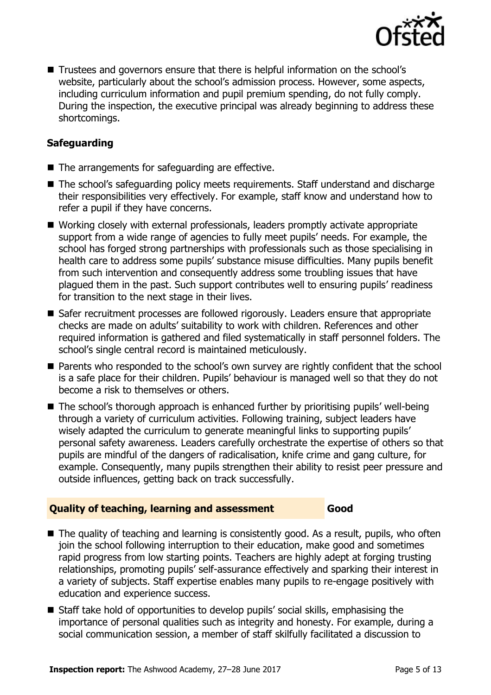

■ Trustees and governors ensure that there is helpful information on the school's website, particularly about the school's admission process. However, some aspects, including curriculum information and pupil premium spending, do not fully comply. During the inspection, the executive principal was already beginning to address these shortcomings.

### **Safeguarding**

- The arrangements for safeguarding are effective.
- The school's safeguarding policy meets requirements. Staff understand and discharge their responsibilities very effectively. For example, staff know and understand how to refer a pupil if they have concerns.
- Working closely with external professionals, leaders promptly activate appropriate support from a wide range of agencies to fully meet pupils' needs. For example, the school has forged strong partnerships with professionals such as those specialising in health care to address some pupils' substance misuse difficulties. Many pupils benefit from such intervention and consequently address some troubling issues that have plagued them in the past. Such support contributes well to ensuring pupils' readiness for transition to the next stage in their lives.
- Safer recruitment processes are followed rigorously. Leaders ensure that appropriate checks are made on adults' suitability to work with children. References and other required information is gathered and filed systematically in staff personnel folders. The school's single central record is maintained meticulously.
- **Parents who responded to the school's own survey are rightly confident that the school** is a safe place for their children. Pupils' behaviour is managed well so that they do not become a risk to themselves or others.
- The school's thorough approach is enhanced further by prioritising pupils' well-being through a variety of curriculum activities. Following training, subject leaders have wisely adapted the curriculum to generate meaningful links to supporting pupils' personal safety awareness. Leaders carefully orchestrate the expertise of others so that pupils are mindful of the dangers of radicalisation, knife crime and gang culture, for example. Consequently, many pupils strengthen their ability to resist peer pressure and outside influences, getting back on track successfully.

#### **Quality of teaching, learning and assessment Good**

- The quality of teaching and learning is consistently good. As a result, pupils, who often join the school following interruption to their education, make good and sometimes rapid progress from low starting points. Teachers are highly adept at forging trusting relationships, promoting pupils' self-assurance effectively and sparking their interest in a variety of subjects. Staff expertise enables many pupils to re-engage positively with education and experience success.
- Staff take hold of opportunities to develop pupils' social skills, emphasising the importance of personal qualities such as integrity and honesty. For example, during a social communication session, a member of staff skilfully facilitated a discussion to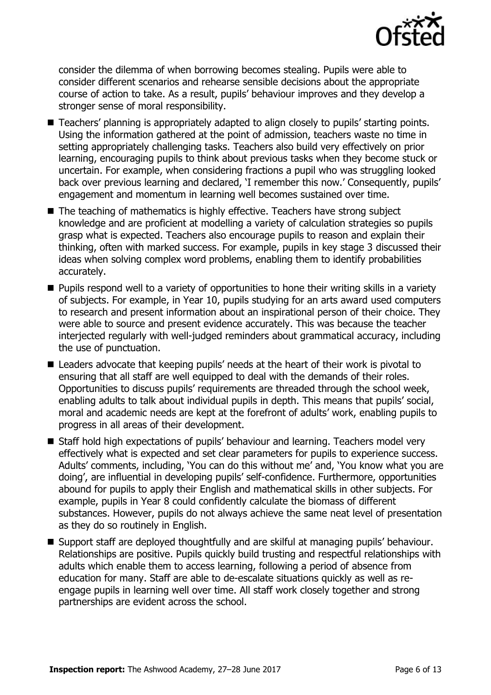

consider the dilemma of when borrowing becomes stealing. Pupils were able to consider different scenarios and rehearse sensible decisions about the appropriate course of action to take. As a result, pupils' behaviour improves and they develop a stronger sense of moral responsibility.

- Teachers' planning is appropriately adapted to align closely to pupils' starting points. Using the information gathered at the point of admission, teachers waste no time in setting appropriately challenging tasks. Teachers also build very effectively on prior learning, encouraging pupils to think about previous tasks when they become stuck or uncertain. For example, when considering fractions a pupil who was struggling looked back over previous learning and declared, 'I remember this now.' Consequently, pupils' engagement and momentum in learning well becomes sustained over time.
- The teaching of mathematics is highly effective. Teachers have strong subject knowledge and are proficient at modelling a variety of calculation strategies so pupils grasp what is expected. Teachers also encourage pupils to reason and explain their thinking, often with marked success. For example, pupils in key stage 3 discussed their ideas when solving complex word problems, enabling them to identify probabilities accurately.
- $\blacksquare$  Pupils respond well to a variety of opportunities to hone their writing skills in a variety of subjects. For example, in Year 10, pupils studying for an arts award used computers to research and present information about an inspirational person of their choice. They were able to source and present evidence accurately. This was because the teacher interjected regularly with well-judged reminders about grammatical accuracy, including the use of punctuation.
- Leaders advocate that keeping pupils' needs at the heart of their work is pivotal to ensuring that all staff are well equipped to deal with the demands of their roles. Opportunities to discuss pupils' requirements are threaded through the school week, enabling adults to talk about individual pupils in depth. This means that pupils' social, moral and academic needs are kept at the forefront of adults' work, enabling pupils to progress in all areas of their development.
- Staff hold high expectations of pupils' behaviour and learning. Teachers model very effectively what is expected and set clear parameters for pupils to experience success. Adults' comments, including, 'You can do this without me' and, 'You know what you are doing', are influential in developing pupils' self-confidence. Furthermore, opportunities abound for pupils to apply their English and mathematical skills in other subjects. For example, pupils in Year 8 could confidently calculate the biomass of different substances. However, pupils do not always achieve the same neat level of presentation as they do so routinely in English.
- Support staff are deployed thoughtfully and are skilful at managing pupils' behaviour. Relationships are positive. Pupils quickly build trusting and respectful relationships with adults which enable them to access learning, following a period of absence from education for many. Staff are able to de-escalate situations quickly as well as reengage pupils in learning well over time. All staff work closely together and strong partnerships are evident across the school.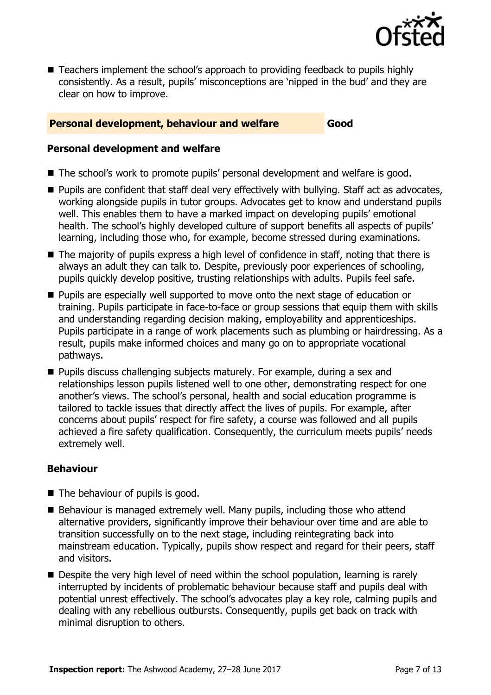

■ Teachers implement the school's approach to providing feedback to pupils highly consistently. As a result, pupils' misconceptions are 'nipped in the bud' and they are clear on how to improve.

#### **Personal development, behaviour and welfare Good**

#### **Personal development and welfare**

- The school's work to promote pupils' personal development and welfare is good.
- **Pupils are confident that staff deal very effectively with bullying. Staff act as advocates,** working alongside pupils in tutor groups. Advocates get to know and understand pupils well. This enables them to have a marked impact on developing pupils' emotional health. The school's highly developed culture of support benefits all aspects of pupils' learning, including those who, for example, become stressed during examinations.
- The majority of pupils express a high level of confidence in staff, noting that there is always an adult they can talk to. Despite, previously poor experiences of schooling, pupils quickly develop positive, trusting relationships with adults. Pupils feel safe.
- **Pupils are especially well supported to move onto the next stage of education or** training. Pupils participate in face-to-face or group sessions that equip them with skills and understanding regarding decision making, employability and apprenticeships. Pupils participate in a range of work placements such as plumbing or hairdressing. As a result, pupils make informed choices and many go on to appropriate vocational pathways.
- **Pupils discuss challenging subjects maturely. For example, during a sex and** relationships lesson pupils listened well to one other, demonstrating respect for one another's views. The school's personal, health and social education programme is tailored to tackle issues that directly affect the lives of pupils. For example, after concerns about pupils' respect for fire safety, a course was followed and all pupils achieved a fire safety qualification. Consequently, the curriculum meets pupils' needs extremely well.

#### **Behaviour**

- The behaviour of pupils is good.
- $\blacksquare$  Behaviour is managed extremely well. Many pupils, including those who attend alternative providers, significantly improve their behaviour over time and are able to transition successfully on to the next stage, including reintegrating back into mainstream education. Typically, pupils show respect and regard for their peers, staff and visitors.
- Despite the very high level of need within the school population, learning is rarely interrupted by incidents of problematic behaviour because staff and pupils deal with potential unrest effectively. The school's advocates play a key role, calming pupils and dealing with any rebellious outbursts. Consequently, pupils get back on track with minimal disruption to others.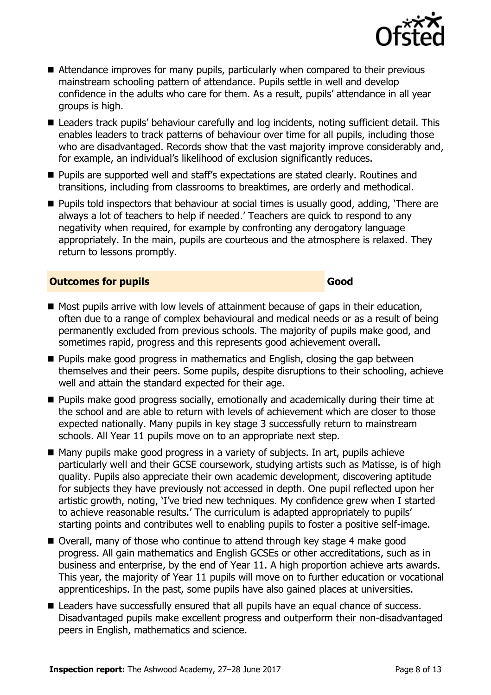- Attendance improves for many pupils, particularly when compared to their previous mainstream schooling pattern of attendance. Pupils settle in well and develop confidence in the adults who care for them. As a result, pupils' attendance in all year groups is high.
- Leaders track pupils' behaviour carefully and log incidents, noting sufficient detail. This enables leaders to track patterns of behaviour over time for all pupils, including those who are disadvantaged. Records show that the vast majority improve considerably and, for example, an individual's likelihood of exclusion significantly reduces.
- **Pupils are supported well and staff's expectations are stated clearly. Routines and** transitions, including from classrooms to breaktimes, are orderly and methodical.
- **Pupils told inspectors that behaviour at social times is usually good, adding, 'There are** always a lot of teachers to help if needed.' Teachers are quick to respond to any negativity when required, for example by confronting any derogatory language appropriately. In the main, pupils are courteous and the atmosphere is relaxed. They return to lessons promptly.

#### **Outcomes for pupils Good**

- Most pupils arrive with low levels of attainment because of gaps in their education, often due to a range of complex behavioural and medical needs or as a result of being permanently excluded from previous schools. The majority of pupils make good, and sometimes rapid, progress and this represents good achievement overall.
- **Pupils make good progress in mathematics and English, closing the gap between** themselves and their peers. Some pupils, despite disruptions to their schooling, achieve well and attain the standard expected for their age.
- **Pupils make good progress socially, emotionally and academically during their time at** the school and are able to return with levels of achievement which are closer to those expected nationally. Many pupils in key stage 3 successfully return to mainstream schools. All Year 11 pupils move on to an appropriate next step.
- $\blacksquare$  Many pupils make good progress in a variety of subjects. In art, pupils achieve particularly well and their GCSE coursework, studying artists such as Matisse, is of high quality. Pupils also appreciate their own academic development, discovering aptitude for subjects they have previously not accessed in depth. One pupil reflected upon her artistic growth, noting, 'I've tried new techniques. My confidence grew when I started to achieve reasonable results.' The curriculum is adapted appropriately to pupils' starting points and contributes well to enabling pupils to foster a positive self-image.
- Overall, many of those who continue to attend through key stage 4 make good progress. All gain mathematics and English GCSEs or other accreditations, such as in business and enterprise, by the end of Year 11. A high proportion achieve arts awards. This year, the majority of Year 11 pupils will move on to further education or vocational apprenticeships. In the past, some pupils have also gained places at universities.
- Leaders have successfully ensured that all pupils have an equal chance of success. Disadvantaged pupils make excellent progress and outperform their non-disadvantaged peers in English, mathematics and science.

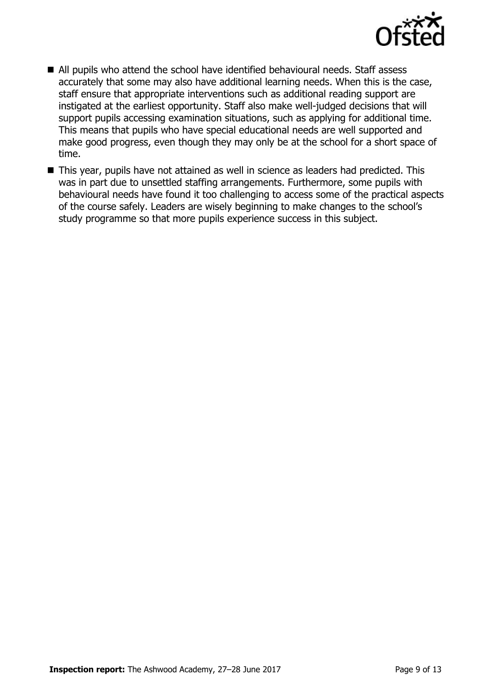

- All pupils who attend the school have identified behavioural needs. Staff assess accurately that some may also have additional learning needs. When this is the case, staff ensure that appropriate interventions such as additional reading support are instigated at the earliest opportunity. Staff also make well-judged decisions that will support pupils accessing examination situations, such as applying for additional time. This means that pupils who have special educational needs are well supported and make good progress, even though they may only be at the school for a short space of time.
- This year, pupils have not attained as well in science as leaders had predicted. This was in part due to unsettled staffing arrangements. Furthermore, some pupils with behavioural needs have found it too challenging to access some of the practical aspects of the course safely. Leaders are wisely beginning to make changes to the school's study programme so that more pupils experience success in this subject.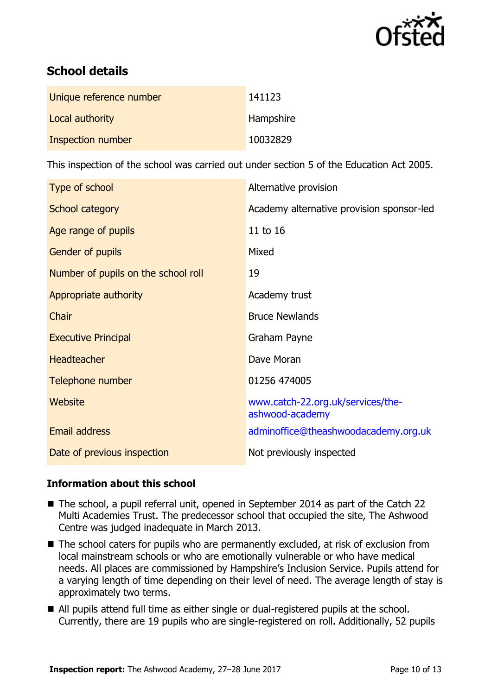

# **School details**

| Unique reference number  | 141123    |
|--------------------------|-----------|
| Local authority          | Hampshire |
| <b>Inspection number</b> | 10032829  |

This inspection of the school was carried out under section 5 of the Education Act 2005.

| Type of school                      | Alternative provision                                |
|-------------------------------------|------------------------------------------------------|
| School category                     | Academy alternative provision sponsor-led            |
| Age range of pupils                 | 11 to 16                                             |
| Gender of pupils                    | Mixed                                                |
| Number of pupils on the school roll | 19                                                   |
| Appropriate authority               | Academy trust                                        |
| Chair                               | <b>Bruce Newlands</b>                                |
| <b>Executive Principal</b>          | Graham Payne                                         |
| <b>Headteacher</b>                  | Dave Moran                                           |
| Telephone number                    | 01256 474005                                         |
| Website                             | www.catch-22.org.uk/services/the-<br>ashwood-academy |
| <b>Email address</b>                | adminoffice@theashwoodacademy.org.uk                 |
| Date of previous inspection         | Not previously inspected                             |

#### **Information about this school**

- The school, a pupil referral unit, opened in September 2014 as part of the Catch 22 Multi Academies Trust. The predecessor school that occupied the site, The Ashwood Centre was judged inadequate in March 2013.
- The school caters for pupils who are permanently excluded, at risk of exclusion from local mainstream schools or who are emotionally vulnerable or who have medical needs. All places are commissioned by Hampshire's Inclusion Service. Pupils attend for a varying length of time depending on their level of need. The average length of stay is approximately two terms.
- All pupils attend full time as either single or dual-registered pupils at the school. Currently, there are 19 pupils who are single-registered on roll. Additionally, 52 pupils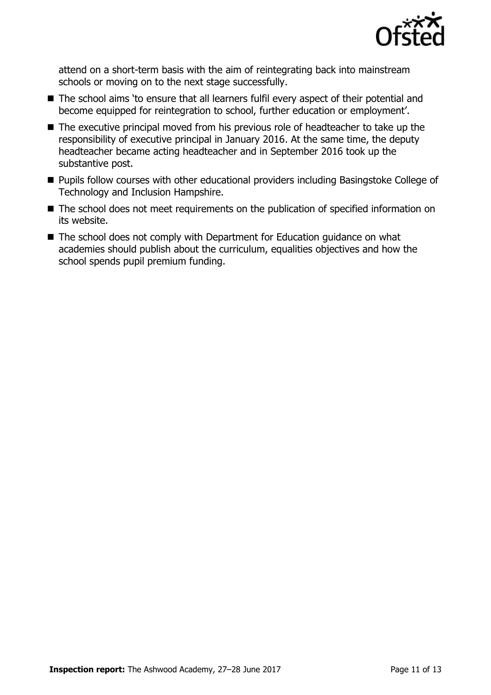

attend on a short-term basis with the aim of reintegrating back into mainstream schools or moving on to the next stage successfully.

- The school aims 'to ensure that all learners fulfil every aspect of their potential and become equipped for reintegration to school, further education or employment'.
- The executive principal moved from his previous role of headteacher to take up the responsibility of executive principal in January 2016. At the same time, the deputy headteacher became acting headteacher and in September 2016 took up the substantive post.
- **Pupils follow courses with other educational providers including Basingstoke College of** Technology and Inclusion Hampshire.
- The school does not meet requirements on the publication of specified information on its website.
- The school does not comply with Department for Education guidance on what academies should publish about the curriculum, equalities objectives and how the school spends pupil premium funding.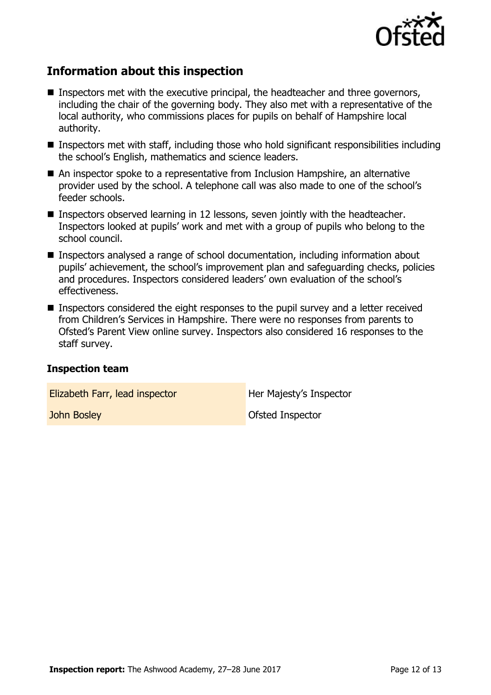

## **Information about this inspection**

- Inspectors met with the executive principal, the headteacher and three governors, including the chair of the governing body. They also met with a representative of the local authority, who commissions places for pupils on behalf of Hampshire local authority.
- **Inspectors met with staff, including those who hold significant responsibilities including** the school's English, mathematics and science leaders.
- An inspector spoke to a representative from Inclusion Hampshire, an alternative provider used by the school. A telephone call was also made to one of the school's feeder schools.
- **Inspectors observed learning in 12 lessons, seven jointly with the headteacher.** Inspectors looked at pupils' work and met with a group of pupils who belong to the school council.
- Inspectors analysed a range of school documentation, including information about pupils' achievement, the school's improvement plan and safeguarding checks, policies and procedures. Inspectors considered leaders' own evaluation of the school's effectiveness.
- Inspectors considered the eight responses to the pupil survey and a letter received from Children's Services in Hampshire. There were no responses from parents to Ofsted's Parent View online survey. Inspectors also considered 16 responses to the staff survey.

#### **Inspection team**

**Elizabeth Farr, lead inspector Her Majesty's Inspector** 

**John Bosley Community Community Community Community Community Community Community Community Community Community**